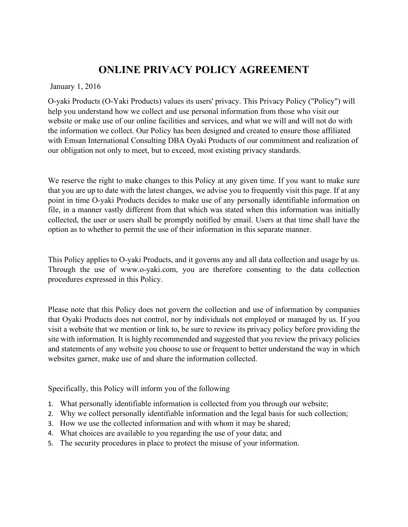# **ONLINE PRIVACY POLICY AGREEMENT**

January 1, 2016

O-yaki Products (O-Yaki Products) values its users' privacy. This Privacy Policy ("Policy") will help you understand how we collect and use personal information from those who visit our website or make use of our online facilities and services, and what we will and will not do with the information we collect. Our Policy has been designed and created to ensure those affiliated with Emsan International Consulting DBA Oyaki Products of our commitment and realization of our obligation not only to meet, but to exceed, most existing privacy standards.

We reserve the right to make changes to this Policy at any given time. If you want to make sure that you are up to date with the latest changes, we advise you to frequently visit this page. If at any point in time O-yaki Products decides to make use of any personally identifiable information on file, in a manner vastly different from that which was stated when this information was initially collected, the user or users shall be promptly notified by email. Users at that time shall have the option as to whether to permit the use of their information in this separate manner.

This Policy applies to O-yaki Products, and it governs any and all data collection and usage by us. Through the use of www.o-yaki.com, you are therefore consenting to the data collection procedures expressed in this Policy.

Please note that this Policy does not govern the collection and use of information by companies that Oyaki Products does not control, nor by individuals not employed or managed by us. If you visit a website that we mention or link to, be sure to review its privacy policy before providing the site with information. It is highly recommended and suggested that you review the privacy policies and statements of any website you choose to use or frequent to better understand the way in which websites garner, make use of and share the information collected.

Specifically, this Policy will inform you of the following

- 1. What personally identifiable information is collected from you through our website;
- 2. Why we collect personally identifiable information and the legal basis for such collection;
- 3. How we use the collected information and with whom it may be shared;
- 4. What choices are available to you regarding the use of your data; and
- 5. The security procedures in place to protect the misuse of your information.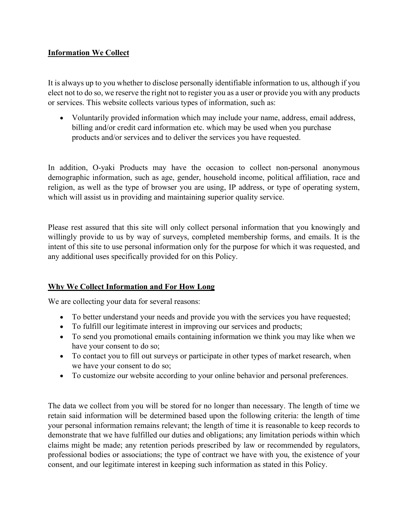### **Information We Collect**

It is always up to you whether to disclose personally identifiable information to us, although if you elect not to do so, we reserve the right not to register you as a user or provide you with any products or services. This website collects various types of information, such as:

• Voluntarily provided information which may include your name, address, email address, billing and/or credit card information etc. which may be used when you purchase products and/or services and to deliver the services you have requested.

In addition, O-yaki Products may have the occasion to collect non-personal anonymous demographic information, such as age, gender, household income, political affiliation, race and religion, as well as the type of browser you are using, IP address, or type of operating system, which will assist us in providing and maintaining superior quality service.

Please rest assured that this site will only collect personal information that you knowingly and willingly provide to us by way of surveys, completed membership forms, and emails. It is the intent of this site to use personal information only for the purpose for which it was requested, and any additional uses specifically provided for on this Policy.

### **Why We Collect Information and For How Long**

We are collecting your data for several reasons:

- To better understand your needs and provide you with the services you have requested;
- To fulfill our legitimate interest in improving our services and products;
- To send you promotional emails containing information we think you may like when we have your consent to do so;
- To contact you to fill out surveys or participate in other types of market research, when we have your consent to do so;
- To customize our website according to your online behavior and personal preferences.

The data we collect from you will be stored for no longer than necessary. The length of time we retain said information will be determined based upon the following criteria: the length of time your personal information remains relevant; the length of time it is reasonable to keep records to demonstrate that we have fulfilled our duties and obligations; any limitation periods within which claims might be made; any retention periods prescribed by law or recommended by regulators, professional bodies or associations; the type of contract we have with you, the existence of your consent, and our legitimate interest in keeping such information as stated in this Policy.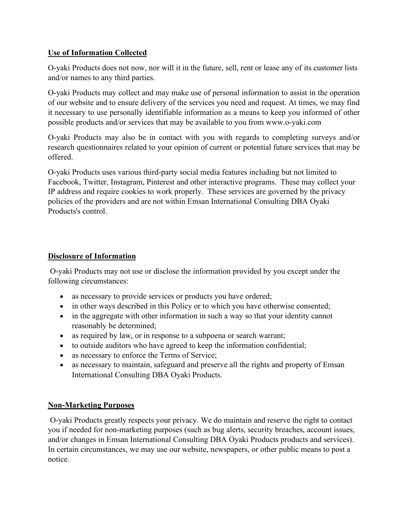## **Use of Information Collected**

O-yaki Products does not now, nor will it in the future, sell, rent or lease any of its customer lists and/or names to any third parties.

O-yaki Products may collect and may make use of personal information to assist in the operation of our website and to ensure delivery of the services you need and request. At times, we may find it necessary to use personally identifiable information as a means to keep you informed of other possible products and/or services that may be available to you from www.o-yaki.com

O-yaki Products may also be in contact with you with regards to completing surveys and/or research questionnaires related to your opinion of current or potential future services that may be offered.

O-yaki Products uses various third-party social media features including but not limited to Facebook, Twitter, Instagram, Pinterest and other interactive programs. These may collect your IP address and require cookies to work properly. These services are governed by the privacy policies of the providers and are not within Emsan International Consulting DBA Oyaki Products's control.

### **Disclosure of Information**

O-yaki Products may not use or disclose the information provided by you except under the following circumstances:

- as necessary to provide services or products you have ordered;
- in other ways described in this Policy or to which you have otherwise consented;
- in the aggregate with other information in such a way so that your identity cannot reasonably be determined;
- as required by law, or in response to a subpoena or search warrant;
- to outside auditors who have agreed to keep the information confidential;
- as necessary to enforce the Terms of Service;
- as necessary to maintain, safeguard and preserve all the rights and property of Emsan International Consulting DBA Oyaki Products.

# **Non-Marketing Purposes**

O-yaki Products greatly respects your privacy. We do maintain and reserve the right to contact you if needed for non-marketing purposes (such as bug alerts, security breaches, account issues, and/or changes in Emsan International Consulting DBA Oyaki Products products and services). In certain circumstances, we may use our website, newspapers, or other public means to post a notice.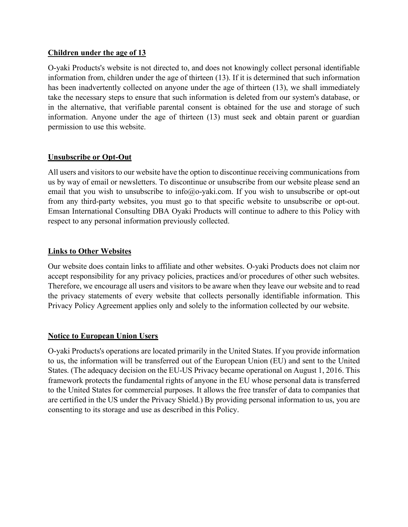#### **Children under the age of 13**

O-yaki Products's website is not directed to, and does not knowingly collect personal identifiable information from, children under the age of thirteen (13). If it is determined that such information has been inadvertently collected on anyone under the age of thirteen (13), we shall immediately take the necessary steps to ensure that such information is deleted from our system's database, or in the alternative, that verifiable parental consent is obtained for the use and storage of such information. Anyone under the age of thirteen (13) must seek and obtain parent or guardian permission to use this website.

### **Unsubscribe or Opt-Out**

All users and visitors to our website have the option to discontinue receiving communications from us by way of email or newsletters. To discontinue or unsubscribe from our website please send an email that you wish to unsubscribe to info@o-yaki.com. If you wish to unsubscribe or opt-out from any third-party websites, you must go to that specific website to unsubscribe or opt-out. Emsan International Consulting DBA Oyaki Products will continue to adhere to this Policy with respect to any personal information previously collected.

### **Links to Other Websites**

Our website does contain links to affiliate and other websites. O-yaki Products does not claim nor accept responsibility for any privacy policies, practices and/or procedures of other such websites. Therefore, we encourage all users and visitors to be aware when they leave our website and to read the privacy statements of every website that collects personally identifiable information. This Privacy Policy Agreement applies only and solely to the information collected by our website.

### **Notice to European Union Users**

O-yaki Products's operations are located primarily in the United States. If you provide information to us, the information will be transferred out of the European Union (EU) and sent to the United States. (The adequacy decision on the EU-US Privacy became operational on August 1, 2016. This framework protects the fundamental rights of anyone in the EU whose personal data is transferred to the United States for commercial purposes. It allows the free transfer of data to companies that are certified in the US under the Privacy Shield.) By providing personal information to us, you are consenting to its storage and use as described in this Policy.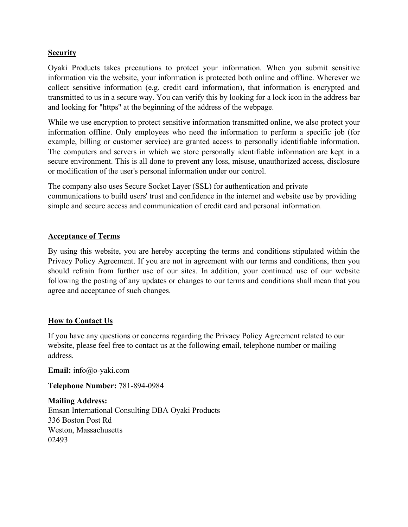### **Security**

Oyaki Products takes precautions to protect your information. When you submit sensitive information via the website, your information is protected both online and offline. Wherever we collect sensitive information (e.g. credit card information), that information is encrypted and transmitted to us in a secure way. You can verify this by looking for a lock icon in the address bar and looking for "https" at the beginning of the address of the webpage.

While we use encryption to protect sensitive information transmitted online, we also protect your information offline. Only employees who need the information to perform a specific job (for example, billing or customer service) are granted access to personally identifiable information. The computers and servers in which we store personally identifiable information are kept in a secure environment. This is all done to prevent any loss, misuse, unauthorized access, disclosure or modification of the user's personal information under our control.

The company also uses Secure Socket Layer (SSL) for authentication and private communications to build users' trust and confidence in the internet and website use by providing simple and secure access and communication of credit card and personal information.

#### **Acceptance of Terms**

By using this website, you are hereby accepting the terms and conditions stipulated within the Privacy Policy Agreement. If you are not in agreement with our terms and conditions, then you should refrain from further use of our sites. In addition, your continued use of our website following the posting of any updates or changes to our terms and conditions shall mean that you agree and acceptance of such changes.

### **How to Contact Us**

If you have any questions or concerns regarding the Privacy Policy Agreement related to our website, please feel free to contact us at the following email, telephone number or mailing address.

**Email:** info@o-yaki.com

**Telephone Number:** 781-894-0984

**Mailing Address:** Emsan International Consulting DBA Oyaki Products 336 Boston Post Rd Weston, Massachusetts 02493